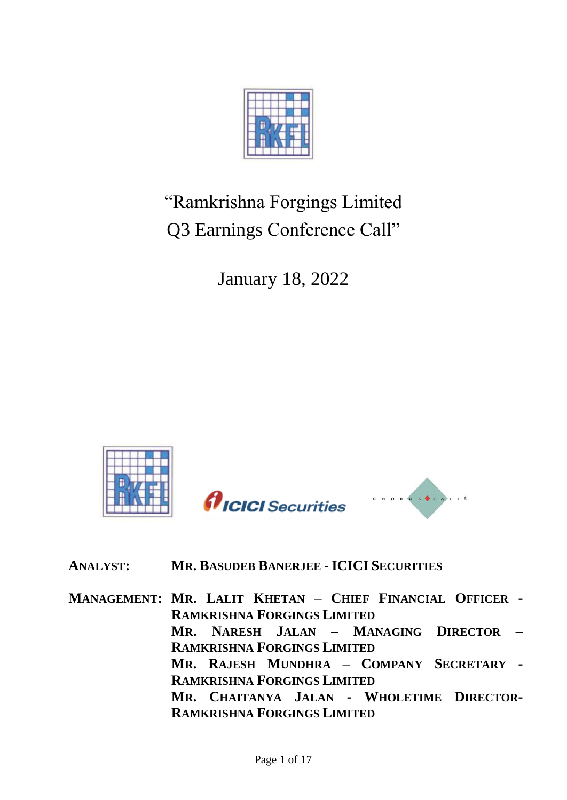

# "Ramkrishna Forgings Limited Q3 Earnings Conference Call"

January 18, 2022



# **ANALYST: MR. BASUDEB BANERJEE - ICICI SECURITIES**

**MANAGEMENT: MR. LALIT KHETAN – CHIEF FINANCIAL OFFICER - RAMKRISHNA FORGINGS LIMITED MR. NARESH JALAN – MANAGING DIRECTOR – RAMKRISHNA FORGINGS LIMITED MR. RAJESH MUNDHRA – COMPANY SECRETARY - RAMKRISHNA FORGINGS LIMITED MR. CHAITANYA JALAN - WHOLETIME DIRECTOR-RAMKRISHNA FORGINGS LIMITED**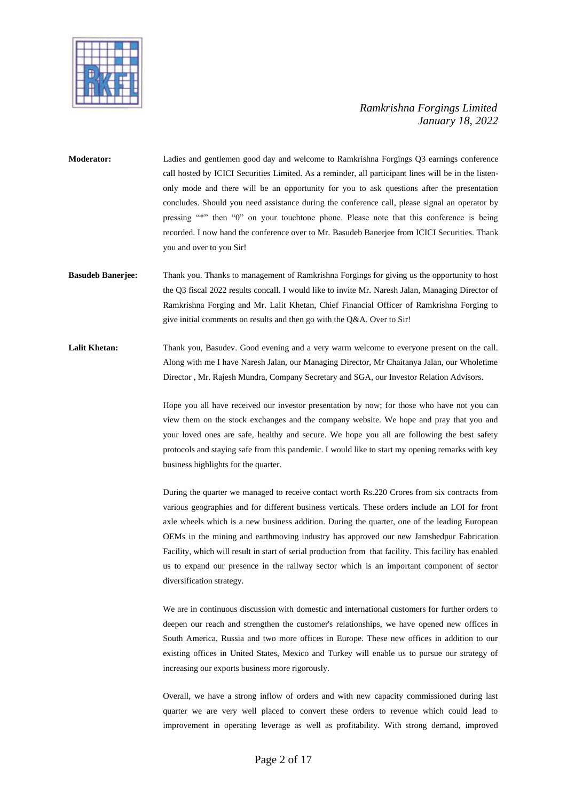

**Moderator:** Ladies and gentlemen good day and welcome to Ramkrishna Forgings Q3 earnings conference call hosted by ICICI Securities Limited. As a reminder, all participant lines will be in the listenonly mode and there will be an opportunity for you to ask questions after the presentation concludes. Should you need assistance during the conference call, please signal an operator by pressing "\*" then "0" on your touchtone phone. Please note that this conference is being recorded. I now hand the conference over to Mr. Basudeb Banerjee from ICICI Securities. Thank you and over to you Sir!

**Basudeb Banerjee:** Thank you. Thanks to management of Ramkrishna Forgings for giving us the opportunity to host the Q3 fiscal 2022 results concall. I would like to invite Mr. Naresh Jalan, Managing Director of Ramkrishna Forging and Mr. Lalit Khetan, Chief Financial Officer of Ramkrishna Forging to give initial comments on results and then go with the Q&A. Over to Sir!

Lalit Khetan: Thank you, Basudev. Good evening and a very warm welcome to everyone present on the call. Along with me I have Naresh Jalan, our Managing Director, Mr Chaitanya Jalan, our Wholetime Director , Mr. Rajesh Mundra, Company Secretary and SGA, our Investor Relation Advisors.

> Hope you all have received our investor presentation by now; for those who have not you can view them on the stock exchanges and the company website. We hope and pray that you and your loved ones are safe, healthy and secure. We hope you all are following the best safety protocols and staying safe from this pandemic. I would like to start my opening remarks with key business highlights for the quarter.

> During the quarter we managed to receive contact worth Rs.220 Crores from six contracts from various geographies and for different business verticals. These orders include an LOI for front axle wheels which is a new business addition. During the quarter, one of the leading European OEMs in the mining and earthmoving industry has approved our new Jamshedpur Fabrication Facility, which will result in start of serial production from that facility. This facility has enabled us to expand our presence in the railway sector which is an important component of sector diversification strategy.

> We are in continuous discussion with domestic and international customers for further orders to deepen our reach and strengthen the customer's relationships, we have opened new offices in South America, Russia and two more offices in Europe. These new offices in addition to our existing offices in United States, Mexico and Turkey will enable us to pursue our strategy of increasing our exports business more rigorously.

> Overall, we have a strong inflow of orders and with new capacity commissioned during last quarter we are very well placed to convert these orders to revenue which could lead to improvement in operating leverage as well as profitability. With strong demand, improved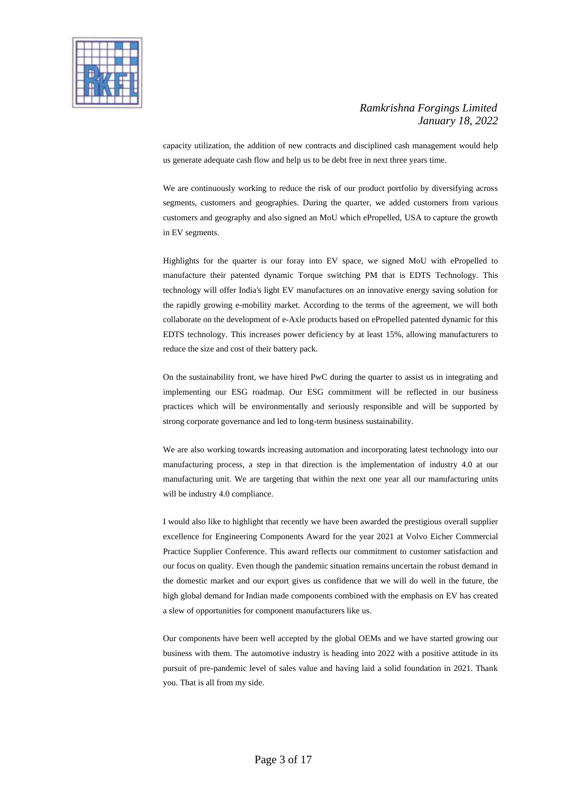

capacity utilization, the addition of new contracts and disciplined cash management would help us generate adequate cash flow and help us to be debt free in next three years time.

We are continuously working to reduce the risk of our product portfolio by diversifying across segments, customers and geographies. During the quarter, we added customers from various customers and geography and also signed an MoU which ePropelled, USA to capture the growth in EV segments.

Highlights for the quarter is our foray into EV space, we signed MoU with ePropelled to manufacture their patented dynamic Torque switching PM that is EDTS Technology. This technology will offer India's light EV manufactures on an innovative energy saving solution for the rapidly growing e-mobility market. According to the terms of the agreement, we will both collaborate on the development of e-Axle products based on ePropelled patented dynamic for this EDTS technology. This increases power deficiency by at least 15%, allowing manufacturers to reduce the size and cost of their battery pack.

On the sustainability front, we have hired PwC during the quarter to assist us in integrating and implementing our ESG roadmap. Our ESG commitment will be reflected in our business practices which will be environmentally and seriously responsible and will be supported by strong corporate governance and led to long-term business sustainability.

We are also working towards increasing automation and incorporating latest technology into our manufacturing process, a step in that direction is the implementation of industry 4.0 at our manufacturing unit. We are targeting that within the next one year all our manufacturing units will be industry 4.0 compliance.

I would also like to highlight that recently we have been awarded the prestigious overall supplier excellence for Engineering Components Award for the year 2021 at Volvo Eicher Commercial Practice Supplier Conference. This award reflects our commitment to customer satisfaction and our focus on quality. Even though the pandemic situation remains uncertain the robust demand in the domestic market and our export gives us confidence that we will do well in the future, the high global demand for Indian made components combined with the emphasis on EV has created a slew of opportunities for component manufacturers like us.

Our components have been well accepted by the global OEMs and we have started growing our business with them. The automotive industry is heading into 2022 with a positive attitude in its pursuit of pre-pandemic level of sales value and having laid a solid foundation in 2021. Thank you. That is all from my side.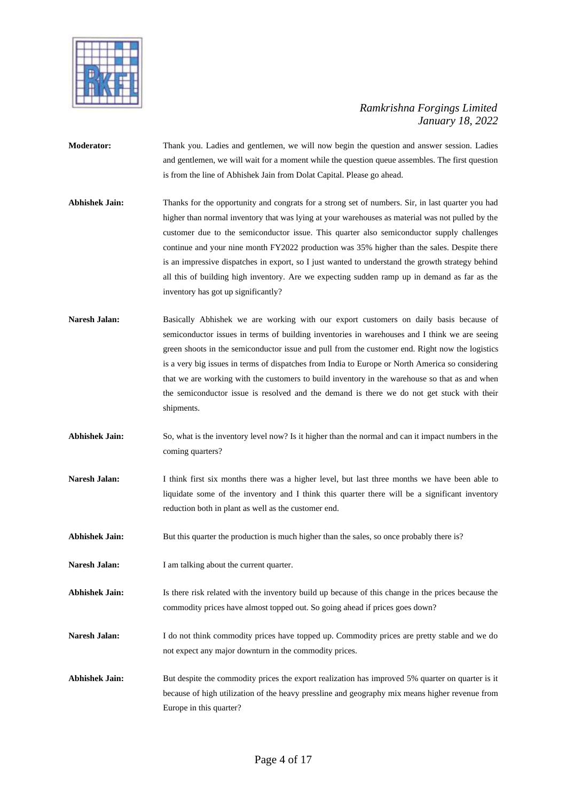

- **Moderator:** Thank you. Ladies and gentlemen, we will now begin the question and answer session. Ladies and gentlemen, we will wait for a moment while the question queue assembles. The first question is from the line of Abhishek Jain from Dolat Capital. Please go ahead.
- **Abhishek Jain:** Thanks for the opportunity and congrats for a strong set of numbers. Sir, in last quarter you had higher than normal inventory that was lying at your warehouses as material was not pulled by the customer due to the semiconductor issue. This quarter also semiconductor supply challenges continue and your nine month FY2022 production was 35% higher than the sales. Despite there is an impressive dispatches in export, so I just wanted to understand the growth strategy behind all this of building high inventory. Are we expecting sudden ramp up in demand as far as the inventory has got up significantly?
- **Naresh Jalan:** Basically Abhishek we are working with our export customers on daily basis because of semiconductor issues in terms of building inventories in warehouses and I think we are seeing green shoots in the semiconductor issue and pull from the customer end. Right now the logistics is a very big issues in terms of dispatches from India to Europe or North America so considering that we are working with the customers to build inventory in the warehouse so that as and when the semiconductor issue is resolved and the demand is there we do not get stuck with their shipments.
- **Abhishek Jain:** So, what is the inventory level now? Is it higher than the normal and can it impact numbers in the coming quarters?
- **Naresh Jalan:** I think first six months there was a higher level, but last three months we have been able to liquidate some of the inventory and I think this quarter there will be a significant inventory reduction both in plant as well as the customer end.
- Abhishek Jain: But this quarter the production is much higher than the sales, so once probably there is?
- Naresh Jalan: I am talking about the current quarter.
- **Abhishek Jain:** Is there risk related with the inventory build up because of this change in the prices because the commodity prices have almost topped out. So going ahead if prices goes down?
- Naresh Jalan: I do not think commodity prices have topped up. Commodity prices are pretty stable and we do not expect any major downturn in the commodity prices.
- Abhishek Jain: But despite the commodity prices the export realization has improved 5% quarter on quarter is it because of high utilization of the heavy pressline and geography mix means higher revenue from Europe in this quarter?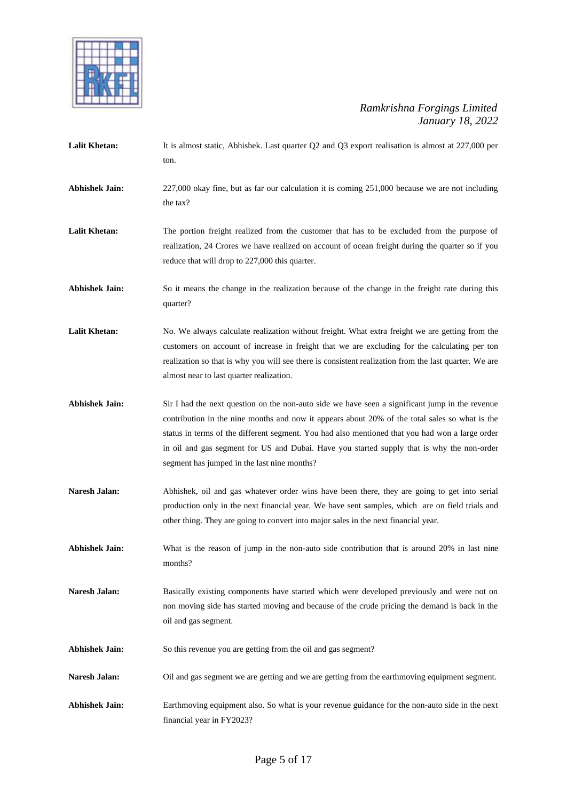

Lalit Khetan: It is almost static, Abhishek. Last quarter Q2 and Q3 export realisation is almost at 227,000 per ton. **Abhishek Jain:** 227,000 okay fine, but as far our calculation it is coming 251,000 because we are not including the tax? Lalit Khetan: The portion freight realized from the customer that has to be excluded from the purpose of realization, 24 Crores we have realized on account of ocean freight during the quarter so if you reduce that will drop to 227,000 this quarter. **Abhishek Jain:** So it means the change in the realization because of the change in the freight rate during this quarter? Lalit Khetan: No. We always calculate realization without freight. What extra freight we are getting from the customers on account of increase in freight that we are excluding for the calculating per ton realization so that is why you will see there is consistent realization from the last quarter. We are almost near to last quarter realization. **Abhishek Jain:** Sir I had the next question on the non-auto side we have seen a significant jump in the revenue contribution in the nine months and now it appears about 20% of the total sales so what is the status in terms of the different segment. You had also mentioned that you had won a large order in oil and gas segment for US and Dubai. Have you started supply that is why the non-order segment has jumped in the last nine months? **Naresh Jalan:** Abhishek, oil and gas whatever order wins have been there, they are going to get into serial production only in the next financial year. We have sent samples, which are on field trials and other thing. They are going to convert into major sales in the next financial year. **Abhishek Jain:** What is the reason of jump in the non-auto side contribution that is around 20% in last nine months? **Naresh Jalan:** Basically existing components have started which were developed previously and were not on non moving side has started moving and because of the crude pricing the demand is back in the oil and gas segment. **Abhishek Jain:** So this revenue you are getting from the oil and gas segment? Naresh Jalan: Oil and gas segment we are getting and we are getting from the earthmoving equipment segment. **Abhishek Jain:** Earthmoving equipment also. So what is your revenue guidance for the non-auto side in the next

financial year in FY2023?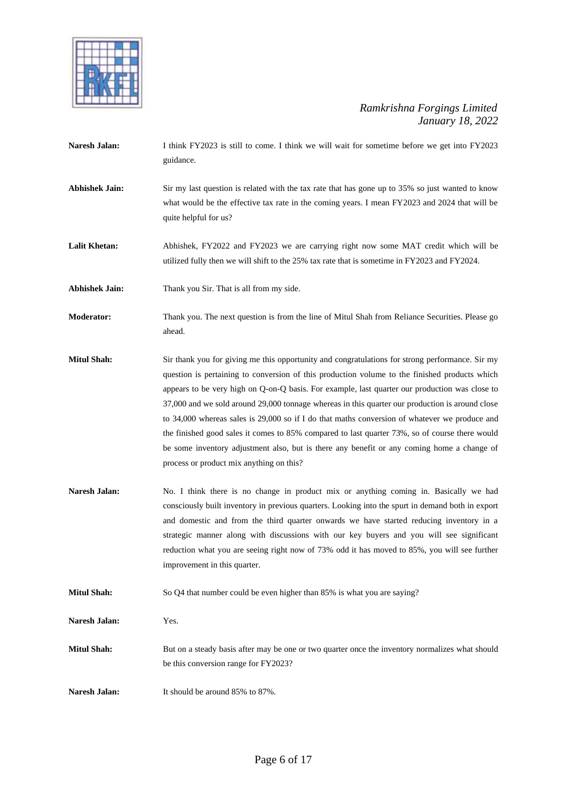

- Naresh Jalan: I think FY2023 is still to come. I think we will wait for sometime before we get into FY2023 guidance.
- Abhishek Jain: Sir my last question is related with the tax rate that has gone up to 35% so just wanted to know what would be the effective tax rate in the coming years. I mean FY2023 and 2024 that will be quite helpful for us?

Lalit Khetan: Abhishek, FY2022 and FY2023 we are carrying right now some MAT credit which will be utilized fully then we will shift to the 25% tax rate that is sometime in FY2023 and FY2024.

**Abhishek Jain:** Thank you Sir. That is all from my side.

**Moderator:** Thank you. The next question is from the line of Mitul Shah from Reliance Securities. Please go ahead.

- **Mitul Shah:** Sir thank you for giving me this opportunity and congratulations for strong performance. Sir my question is pertaining to conversion of this production volume to the finished products which appears to be very high on Q-on-Q basis. For example, last quarter our production was close to 37,000 and we sold around 29,000 tonnage whereas in this quarter our production is around close to 34,000 whereas sales is 29,000 so if I do that maths conversion of whatever we produce and the finished good sales it comes to 85% compared to last quarter 73%, so of course there would be some inventory adjustment also, but is there any benefit or any coming home a change of process or product mix anything on this?
- **Naresh Jalan:** No. I think there is no change in product mix or anything coming in. Basically we had consciously built inventory in previous quarters. Looking into the spurt in demand both in export and domestic and from the third quarter onwards we have started reducing inventory in a strategic manner along with discussions with our key buyers and you will see significant reduction what you are seeing right now of 73% odd it has moved to 85%, you will see further improvement in this quarter.
- **Mitul Shah:** So Q4 that number could be even higher than 85% is what you are saying?

**Naresh Jalan:** Yes.

- Mitul Shah: But on a steady basis after may be one or two quarter once the inventory normalizes what should be this conversion range for FY2023?
- **Naresh Jalan:** It should be around 85% to 87%.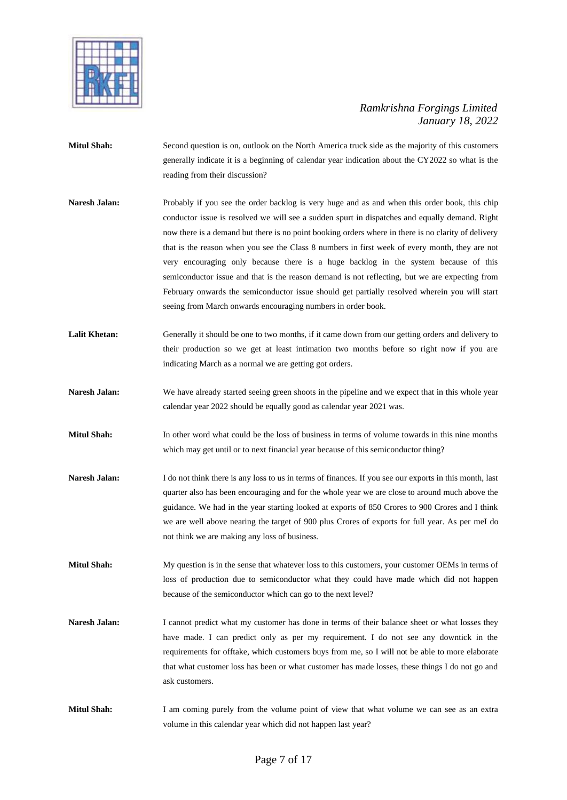

- **Mitul Shah:** Second question is on, outlook on the North America truck side as the majority of this customers generally indicate it is a beginning of calendar year indication about the CY2022 so what is the reading from their discussion?
- **Naresh Jalan:** Probably if you see the order backlog is very huge and as and when this order book, this chip conductor issue is resolved we will see a sudden spurt in dispatches and equally demand. Right now there is a demand but there is no point booking orders where in there is no clarity of delivery that is the reason when you see the Class 8 numbers in first week of every month, they are not very encouraging only because there is a huge backlog in the system because of this semiconductor issue and that is the reason demand is not reflecting, but we are expecting from February onwards the semiconductor issue should get partially resolved wherein you will start seeing from March onwards encouraging numbers in order book.
- Lalit Khetan: Generally it should be one to two months, if it came down from our getting orders and delivery to their production so we get at least intimation two months before so right now if you are indicating March as a normal we are getting got orders.
- **Naresh Jalan:** We have already started seeing green shoots in the pipeline and we expect that in this whole year calendar year 2022 should be equally good as calendar year 2021 was.
- **Mitul Shah:** In other word what could be the loss of business in terms of volume towards in this nine months which may get until or to next financial year because of this semiconductor thing?
- Naresh Jalan: I do not think there is any loss to us in terms of finances. If you see our exports in this month, last quarter also has been encouraging and for the whole year we are close to around much above the guidance. We had in the year starting looked at exports of 850 Crores to 900 Crores and I think we are well above nearing the target of 900 plus Crores of exports for full year. As per meI do not think we are making any loss of business.
- **Mitul Shah:** My question is in the sense that whatever loss to this customers, your customer OEMs in terms of loss of production due to semiconductor what they could have made which did not happen because of the semiconductor which can go to the next level?
- Naresh Jalan: I cannot predict what my customer has done in terms of their balance sheet or what losses they have made. I can predict only as per my requirement. I do not see any downtick in the requirements for offtake, which customers buys from me, so I will not be able to more elaborate that what customer loss has been or what customer has made losses, these things I do not go and ask customers.
- **Mitul Shah:** I am coming purely from the volume point of view that what volume we can see as an extra volume in this calendar year which did not happen last year?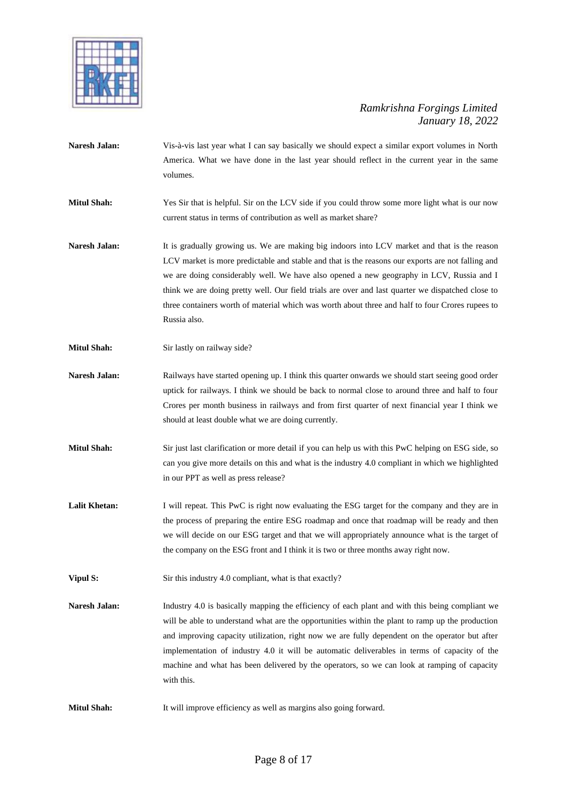

- **Naresh Jalan:** Vis-à-vis last year what I can say basically we should expect a similar export volumes in North America. What we have done in the last year should reflect in the current year in the same volumes.
- **Mitul Shah:** Yes Sir that is helpful. Sir on the LCV side if you could throw some more light what is our now current status in terms of contribution as well as market share?
- **Naresh Jalan:** It is gradually growing us. We are making big indoors into LCV market and that is the reason LCV market is more predictable and stable and that is the reasons our exports are not falling and we are doing considerably well. We have also opened a new geography in LCV, Russia and I think we are doing pretty well. Our field trials are over and last quarter we dispatched close to three containers worth of material which was worth about three and half to four Crores rupees to Russia also.
- **Mitul Shah:** Sir lastly on railway side?
- **Naresh Jalan:** Railways have started opening up. I think this quarter onwards we should start seeing good order uptick for railways. I think we should be back to normal close to around three and half to four Crores per month business in railways and from first quarter of next financial year I think we should at least double what we are doing currently.
- **Mitul Shah:** Sir just last clarification or more detail if you can help us with this PwC helping on ESG side, so can you give more details on this and what is the industry 4.0 compliant in which we highlighted in our PPT as well as press release?
- Lalit Khetan: I will repeat. This PwC is right now evaluating the ESG target for the company and they are in the process of preparing the entire ESG roadmap and once that roadmap will be ready and then we will decide on our ESG target and that we will appropriately announce what is the target of the company on the ESG front and I think it is two or three months away right now.
- **Vipul S:** Sir this industry 4.0 compliant, what is that exactly?
- **Naresh Jalan:** Industry 4.0 is basically mapping the efficiency of each plant and with this being compliant we will be able to understand what are the opportunities within the plant to ramp up the production and improving capacity utilization, right now we are fully dependent on the operator but after implementation of industry 4.0 it will be automatic deliverables in terms of capacity of the machine and what has been delivered by the operators, so we can look at ramping of capacity with this.
- **Mitul Shah:** It will improve efficiency as well as margins also going forward.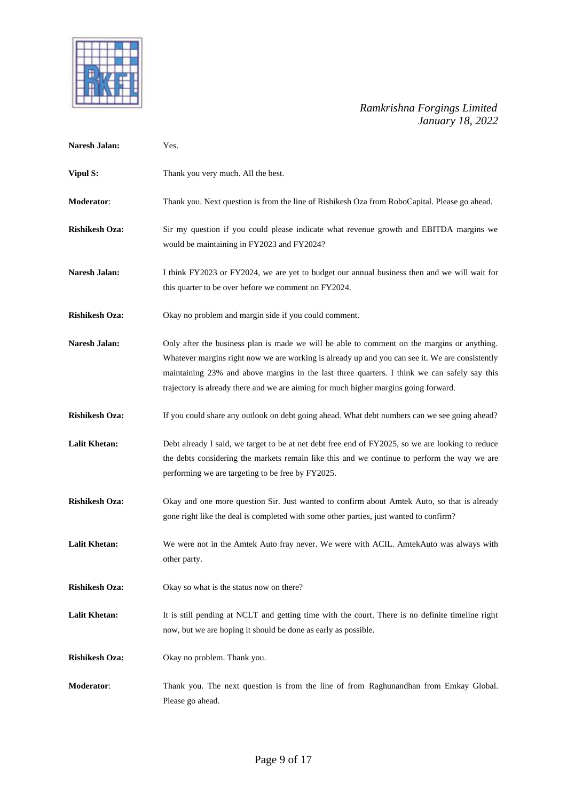

| <b>Naresh Jalan:</b>  | Yes.                                                                                                                                                                                                                                                                                                                                                                                   |
|-----------------------|----------------------------------------------------------------------------------------------------------------------------------------------------------------------------------------------------------------------------------------------------------------------------------------------------------------------------------------------------------------------------------------|
| <b>Vipul S:</b>       | Thank you very much. All the best.                                                                                                                                                                                                                                                                                                                                                     |
| Moderator:            | Thank you. Next question is from the line of Rishikesh Oza from RoboCapital. Please go ahead.                                                                                                                                                                                                                                                                                          |
| <b>Rishikesh Oza:</b> | Sir my question if you could please indicate what revenue growth and EBITDA margins we<br>would be maintaining in FY2023 and FY2024?                                                                                                                                                                                                                                                   |
| <b>Naresh Jalan:</b>  | I think FY2023 or FY2024, we are yet to budget our annual business then and we will wait for<br>this quarter to be over before we comment on FY2024.                                                                                                                                                                                                                                   |
| <b>Rishikesh Oza:</b> | Okay no problem and margin side if you could comment.                                                                                                                                                                                                                                                                                                                                  |
| <b>Naresh Jalan:</b>  | Only after the business plan is made we will be able to comment on the margins or anything.<br>Whatever margins right now we are working is already up and you can see it. We are consistently<br>maintaining 23% and above margins in the last three quarters. I think we can safely say this<br>trajectory is already there and we are aiming for much higher margins going forward. |
| <b>Rishikesh Oza:</b> | If you could share any outlook on debt going ahead. What debt numbers can we see going ahead?                                                                                                                                                                                                                                                                                          |
| Lalit Khetan:         | Debt already I said, we target to be at net debt free end of FY2025, so we are looking to reduce<br>the debts considering the markets remain like this and we continue to perform the way we are<br>performing we are targeting to be free by FY2025.                                                                                                                                  |
| <b>Rishikesh Oza:</b> | Okay and one more question Sir. Just wanted to confirm about Amtek Auto, so that is already<br>gone right like the deal is completed with some other parties, just wanted to confirm?                                                                                                                                                                                                  |
| <b>Lalit Khetan:</b>  | We were not in the Amtek Auto fray never. We were with ACIL. AmtekAuto was always with<br>other party.                                                                                                                                                                                                                                                                                 |
| <b>Rishikesh Oza:</b> | Okay so what is the status now on there?                                                                                                                                                                                                                                                                                                                                               |
| <b>Lalit Khetan:</b>  | It is still pending at NCLT and getting time with the court. There is no definite timeline right<br>now, but we are hoping it should be done as early as possible.                                                                                                                                                                                                                     |
| <b>Rishikesh Oza:</b> | Okay no problem. Thank you.                                                                                                                                                                                                                                                                                                                                                            |
| Moderator:            | Thank you. The next question is from the line of from Raghunandhan from Emkay Global.<br>Please go ahead.                                                                                                                                                                                                                                                                              |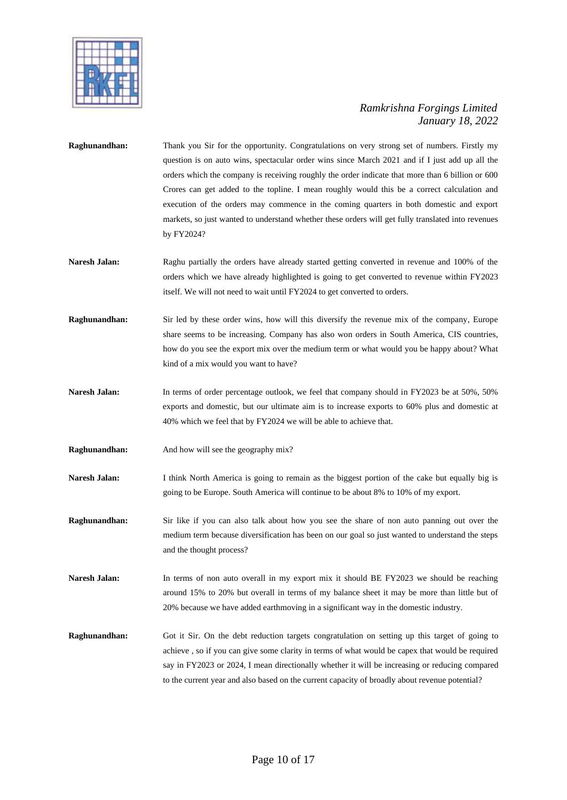

- **Raghunandhan:** Thank you Sir for the opportunity. Congratulations on very strong set of numbers. Firstly my question is on auto wins, spectacular order wins since March 2021 and if I just add up all the orders which the company is receiving roughly the order indicate that more than 6 billion or 600 Crores can get added to the topline. I mean roughly would this be a correct calculation and execution of the orders may commence in the coming quarters in both domestic and export markets, so just wanted to understand whether these orders will get fully translated into revenues by FY2024?
- Naresh Jalan: Raghu partially the orders have already started getting converted in revenue and 100% of the orders which we have already highlighted is going to get converted to revenue within FY2023 itself. We will not need to wait until FY2024 to get converted to orders.
- **Raghunandhan:** Sir led by these order wins, how will this diversify the revenue mix of the company, Europe share seems to be increasing. Company has also won orders in South America, CIS countries, how do you see the export mix over the medium term or what would you be happy about? What kind of a mix would you want to have?
- Naresh Jalan: In terms of order percentage outlook, we feel that company should in FY2023 be at 50%, 50% exports and domestic, but our ultimate aim is to increase exports to 60% plus and domestic at 40% which we feel that by FY2024 we will be able to achieve that.
- **Raghunandhan:** And how will see the geography mix?
- **Naresh Jalan:** I think North America is going to remain as the biggest portion of the cake but equally big is going to be Europe. South America will continue to be about 8% to 10% of my export.
- **Raghunandhan:** Sir like if you can also talk about how you see the share of non auto panning out over the medium term because diversification has been on our goal so just wanted to understand the steps and the thought process?
- **Naresh Jalan:** In terms of non auto overall in my export mix it should BE FY2023 we should be reaching around 15% to 20% but overall in terms of my balance sheet it may be more than little but of 20% because we have added earthmoving in a significant way in the domestic industry.
- **Raghunandhan:** Got it Sir. On the debt reduction targets congratulation on setting up this target of going to achieve , so if you can give some clarity in terms of what would be capex that would be required say in FY2023 or 2024, I mean directionally whether it will be increasing or reducing compared to the current year and also based on the current capacity of broadly about revenue potential?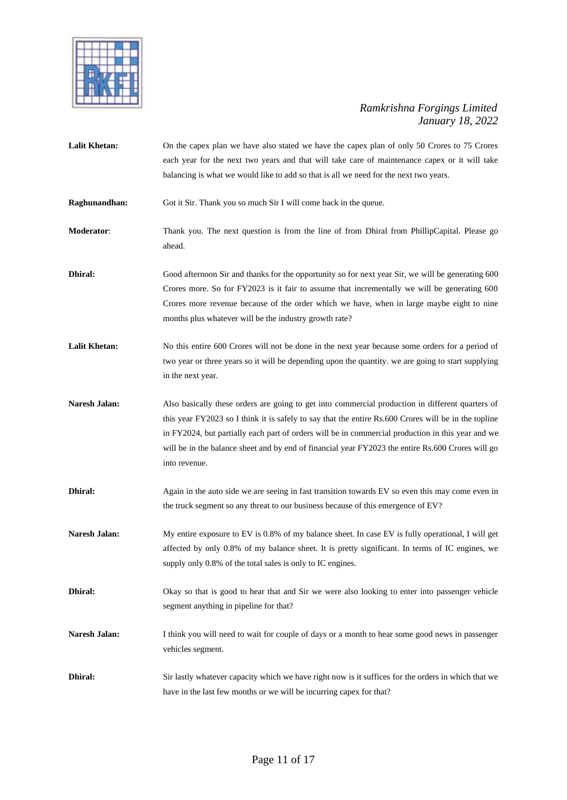

- Lalit Khetan: On the capex plan we have also stated we have the capex plan of only 50 Crores to 75 Crores each year for the next two years and that will take care of maintenance capex or it will take balancing is what we would like to add so that is all we need for the next two years. **Raghunandhan:** Got it Sir. Thank you so much Sir I will come back in the queue. **Moderator:** Thank you. The next question is from the line of from Dhiral from PhillipCapital. Please go ahead. **Dhiral:** Good afternoon Sir and thanks for the opportunity so for next year Sir, we will be generating 600 Crores more. So for FY2023 is it fair to assume that incrementally we will be generating 600 Crores more revenue because of the order which we have, when in large maybe eight to nine months plus whatever will be the industry growth rate? Lalit Khetan: No this entire 600 Crores will not be done in the next year because some orders for a period of two year or three years so it will be depending upon the quantity. we are going to start supplying in the next year. Naresh Jalan: Also basically these orders are going to get into commercial production in different quarters of this year FY2023 so I think it is safely to say that the entire Rs.600 Crores will be in the topline
- in FY2024, but partially each part of orders will be in commercial production in this year and we will be in the balance sheet and by end of financial year FY2023 the entire Rs.600 Crores will go into revenue.
- **Dhiral:** Again in the auto side we are seeing in fast transition towards EV so even this may come even in the truck segment so any threat to our business because of this emergence of EV?
- **Naresh Jalan:** My entire exposure to EV is 0.8% of my balance sheet. In case EV is fully operational, I will get affected by only 0.8% of my balance sheet. It is pretty significant. In terms of IC engines, we supply only 0.8% of the total sales is only to IC engines.
- **Dhiral:** Okay so that is good to hear that and Sir we were also looking to enter into passenger vehicle segment anything in pipeline for that?
- **Naresh Jalan:** I think you will need to wait for couple of days or a month to hear some good news in passenger vehicles segment.
- **Dhiral:** Sir lastly whatever capacity which we have right now is it suffices for the orders in which that we have in the last few months or we will be incurring capex for that?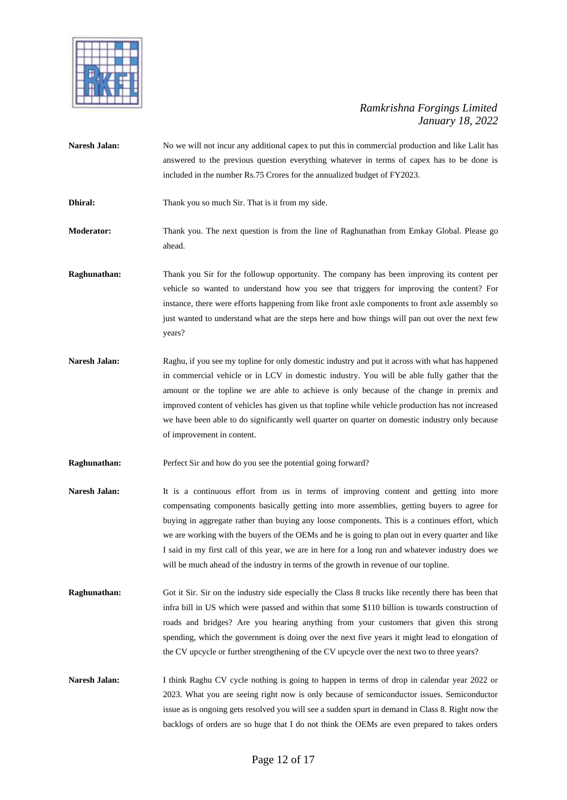

- **Naresh Jalan:** No we will not incur any additional capex to put this in commercial production and like Lalit has answered to the previous question everything whatever in terms of capex has to be done is included in the number Rs.75 Crores for the annualized budget of FY2023.
- **Dhiral:** Thank you so much Sir. That is it from my side.
- **Moderator:** Thank you. The next question is from the line of Raghunathan from Emkay Global. Please go ahead.
- **Raghunathan:** Thank you Sir for the followup opportunity. The company has been improving its content per vehicle so wanted to understand how you see that triggers for improving the content? For instance, there were efforts happening from like front axle components to front axle assembly so just wanted to understand what are the steps here and how things will pan out over the next few years?
- Naresh Jalan: Raghu, if you see my topline for only domestic industry and put it across with what has happened in commercial vehicle or in LCV in domestic industry. You will be able fully gather that the amount or the topline we are able to achieve is only because of the change in premix and improved content of vehicles has given us that topline while vehicle production has not increased we have been able to do significantly well quarter on quarter on domestic industry only because of improvement in content.
- **Raghunathan:** Perfect Sir and how do you see the potential going forward?
- Naresh Jalan: It is a continuous effort from us in terms of improving content and getting into more compensating components basically getting into more assemblies, getting buyers to agree for buying in aggregate rather than buying any loose components. This is a continues effort, which we are working with the buyers of the OEMs and he is going to plan out in every quarter and like I said in my first call of this year, we are in here for a long run and whatever industry does we will be much ahead of the industry in terms of the growth in revenue of our topline.
- **Raghunathan:** Got it Sir. Sir on the industry side especially the Class 8 trucks like recently there has been that infra bill in US which were passed and within that some \$110 billion is towards construction of roads and bridges? Are you hearing anything from your customers that given this strong spending, which the government is doing over the next five years it might lead to elongation of the CV upcycle or further strengthening of the CV upcycle over the next two to three years?
- **Naresh Jalan:** I think Raghu CV cycle nothing is going to happen in terms of drop in calendar year 2022 or 2023. What you are seeing right now is only because of semiconductor issues. Semiconductor issue as is ongoing gets resolved you will see a sudden spurt in demand in Class 8. Right now the backlogs of orders are so huge that I do not think the OEMs are even prepared to takes orders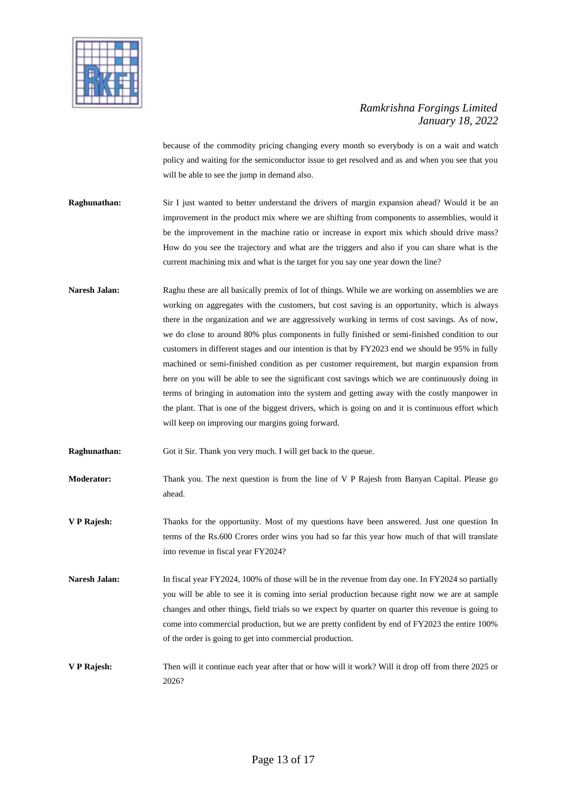

because of the commodity pricing changing every month so everybody is on a wait and watch policy and waiting for the semiconductor issue to get resolved and as and when you see that you will be able to see the jump in demand also.

- **Raghunathan:** Sir I just wanted to better understand the drivers of margin expansion ahead? Would it be an improvement in the product mix where we are shifting from components to assemblies, would it be the improvement in the machine ratio or increase in export mix which should drive mass? How do you see the trajectory and what are the triggers and also if you can share what is the current machining mix and what is the target for you say one year down the line?
- **Naresh Jalan:** Raghu these are all basically premix of lot of things. While we are working on assemblies we are working on aggregates with the customers, but cost saving is an opportunity, which is always there in the organization and we are aggressively working in terms of cost savings. As of now, we do close to around 80% plus components in fully finished or semi-finished condition to our customers in different stages and our intention is that by FY2023 end we should be 95% in fully machined or semi-finished condition as per customer requirement, but margin expansion from here on you will be able to see the significant cost savings which we are continuously doing in terms of bringing in automation into the system and getting away with the costly manpower in the plant. That is one of the biggest drivers, which is going on and it is continuous effort which will keep on improving our margins going forward.
- **Raghunathan:** Got it Sir. Thank you very much. I will get back to the queue.
- **Moderator:** Thank you. The next question is from the line of V P Rajesh from Banyan Capital. Please go ahead.
- **V P Rajesh:** Thanks for the opportunity. Most of my questions have been answered. Just one question In terms of the Rs.600 Crores order wins you had so far this year how much of that will translate into revenue in fiscal year FY2024?
- Naresh Jalan: In fiscal year FY2024, 100% of those will be in the revenue from day one. In FY2024 so partially you will be able to see it is coming into serial production because right now we are at sample changes and other things, field trials so we expect by quarter on quarter this revenue is going to come into commercial production, but we are pretty confident by end of FY2023 the entire 100% of the order is going to get into commercial production.
- **V P Rajesh:** Then will it continue each year after that or how will it work? Will it drop off from there 2025 or 2026?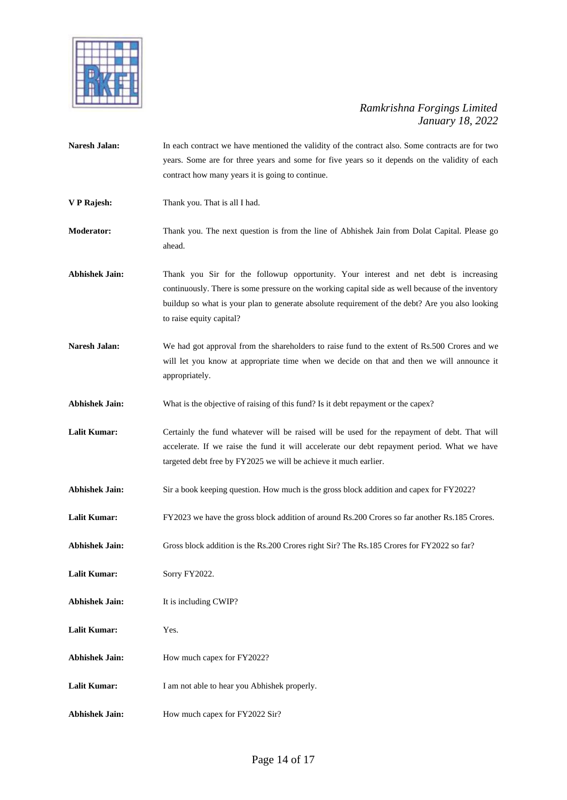

| Naresh Jalan:         | In each contract we have mentioned the validity of the contract also. Some contracts are for two<br>years. Some are for three years and some for five years so it depends on the validity of each<br>contract how many years it is going to continue.                                                                    |
|-----------------------|--------------------------------------------------------------------------------------------------------------------------------------------------------------------------------------------------------------------------------------------------------------------------------------------------------------------------|
| V P Rajesh:           | Thank you. That is all I had.                                                                                                                                                                                                                                                                                            |
| <b>Moderator:</b>     | Thank you. The next question is from the line of Abhishek Jain from Dolat Capital. Please go<br>ahead.                                                                                                                                                                                                                   |
| <b>Abhishek Jain:</b> | Thank you Sir for the followup opportunity. Your interest and net debt is increasing<br>continuously. There is some pressure on the working capital side as well because of the inventory<br>buildup so what is your plan to generate absolute requirement of the debt? Are you also looking<br>to raise equity capital? |
| <b>Naresh Jalan:</b>  | We had got approval from the shareholders to raise fund to the extent of Rs.500 Crores and we<br>will let you know at appropriate time when we decide on that and then we will announce it<br>appropriately.                                                                                                             |
| <b>Abhishek Jain:</b> | What is the objective of raising of this fund? Is it debt repayment or the capex?                                                                                                                                                                                                                                        |
| <b>Lalit Kumar:</b>   | Certainly the fund whatever will be raised will be used for the repayment of debt. That will<br>accelerate. If we raise the fund it will accelerate our debt repayment period. What we have<br>targeted debt free by FY2025 we will be achieve it much earlier.                                                          |
| <b>Abhishek Jain:</b> | Sir a book keeping question. How much is the gross block addition and capex for FY2022?                                                                                                                                                                                                                                  |
| <b>Lalit Kumar:</b>   | FY2023 we have the gross block addition of around Rs.200 Crores so far another Rs.185 Crores.                                                                                                                                                                                                                            |
| <b>Abhishek Jain:</b> | Gross block addition is the Rs.200 Crores right Sir? The Rs.185 Crores for FY2022 so far?                                                                                                                                                                                                                                |
| <b>Lalit Kumar:</b>   | Sorry FY2022.                                                                                                                                                                                                                                                                                                            |
| <b>Abhishek Jain:</b> | It is including CWIP?                                                                                                                                                                                                                                                                                                    |
| <b>Lalit Kumar:</b>   | Yes.                                                                                                                                                                                                                                                                                                                     |
| <b>Abhishek Jain:</b> | How much capex for FY2022?                                                                                                                                                                                                                                                                                               |
| <b>Lalit Kumar:</b>   | I am not able to hear you Abhishek properly.                                                                                                                                                                                                                                                                             |
| <b>Abhishek Jain:</b> | How much capex for FY2022 Sir?                                                                                                                                                                                                                                                                                           |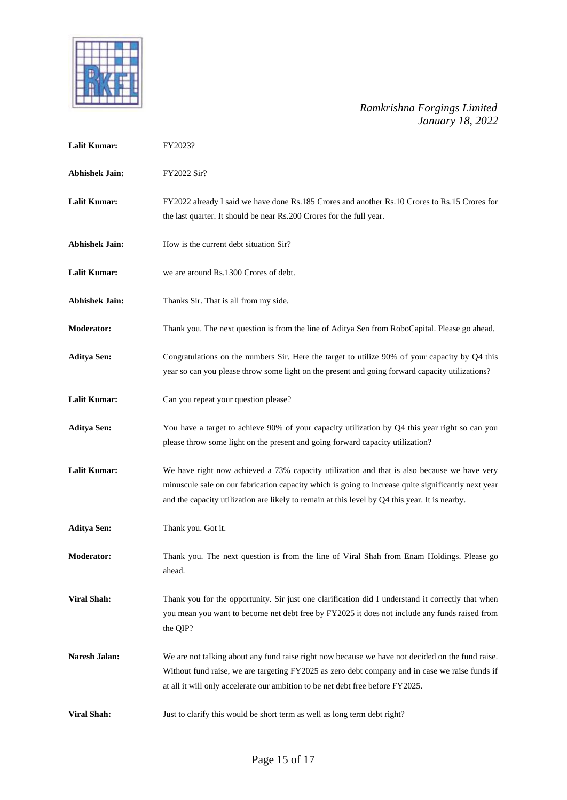

| <b>Lalit Kumar:</b>   | FY2023?                                                                                                                                                                                                                                                                                              |
|-----------------------|------------------------------------------------------------------------------------------------------------------------------------------------------------------------------------------------------------------------------------------------------------------------------------------------------|
| <b>Abhishek Jain:</b> | FY2022 Sir?                                                                                                                                                                                                                                                                                          |
| <b>Lalit Kumar:</b>   | FY2022 already I said we have done Rs.185 Crores and another Rs.10 Crores to Rs.15 Crores for<br>the last quarter. It should be near Rs.200 Crores for the full year.                                                                                                                                |
| <b>Abhishek Jain:</b> | How is the current debt situation Sir?                                                                                                                                                                                                                                                               |
| <b>Lalit Kumar:</b>   | we are around Rs.1300 Crores of debt.                                                                                                                                                                                                                                                                |
| <b>Abhishek Jain:</b> | Thanks Sir. That is all from my side.                                                                                                                                                                                                                                                                |
| <b>Moderator:</b>     | Thank you. The next question is from the line of Aditya Sen from RoboCapital. Please go ahead.                                                                                                                                                                                                       |
| <b>Aditya Sen:</b>    | Congratulations on the numbers Sir. Here the target to utilize 90% of your capacity by Q4 this<br>year so can you please throw some light on the present and going forward capacity utilizations?                                                                                                    |
| <b>Lalit Kumar:</b>   | Can you repeat your question please?                                                                                                                                                                                                                                                                 |
| <b>Aditya Sen:</b>    | You have a target to achieve 90% of your capacity utilization by Q4 this year right so can you<br>please throw some light on the present and going forward capacity utilization?                                                                                                                     |
| <b>Lalit Kumar:</b>   | We have right now achieved a 73% capacity utilization and that is also because we have very<br>minuscule sale on our fabrication capacity which is going to increase quite significantly next year<br>and the capacity utilization are likely to remain at this level by Q4 this year. It is nearby. |
| <b>Aditya Sen:</b>    | Thank you. Got it.                                                                                                                                                                                                                                                                                   |
| <b>Moderator:</b>     | Thank you. The next question is from the line of Viral Shah from Enam Holdings. Please go<br>ahead.                                                                                                                                                                                                  |
| <b>Viral Shah:</b>    | Thank you for the opportunity. Sir just one clarification did I understand it correctly that when<br>you mean you want to become net debt free by FY2025 it does not include any funds raised from<br>the QIP?                                                                                       |
| <b>Naresh Jalan:</b>  | We are not talking about any fund raise right now because we have not decided on the fund raise.<br>Without fund raise, we are targeting FY2025 as zero debt company and in case we raise funds if<br>at all it will only accelerate our ambition to be net debt free before FY2025.                 |
| <b>Viral Shah:</b>    | Just to clarify this would be short term as well as long term debt right?                                                                                                                                                                                                                            |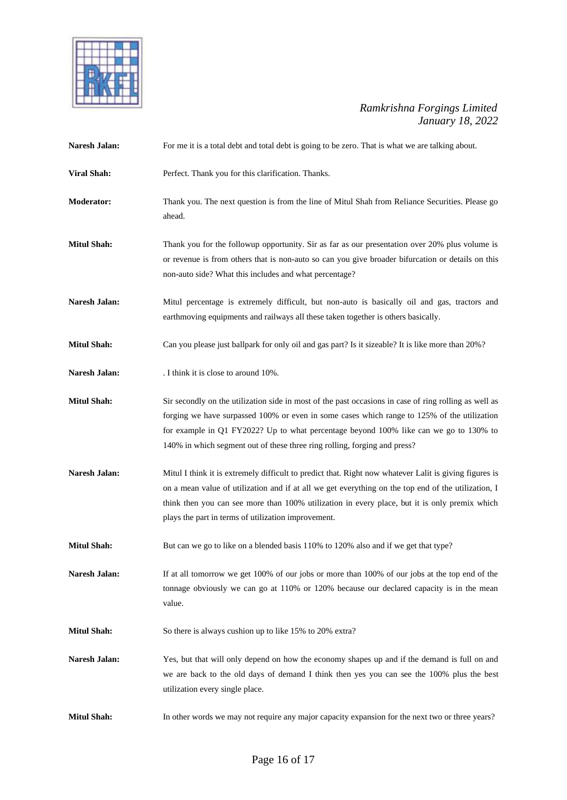

| Naresh Jalan:        | For me it is a total debt and total debt is going to be zero. That is what we are talking about.                                                                                                                                                                                                                                                                           |
|----------------------|----------------------------------------------------------------------------------------------------------------------------------------------------------------------------------------------------------------------------------------------------------------------------------------------------------------------------------------------------------------------------|
| <b>Viral Shah:</b>   | Perfect. Thank you for this clarification. Thanks.                                                                                                                                                                                                                                                                                                                         |
| Moderator:           | Thank you. The next question is from the line of Mitul Shah from Reliance Securities. Please go<br>ahead.                                                                                                                                                                                                                                                                  |
| <b>Mitul Shah:</b>   | Thank you for the followup opportunity. Sir as far as our presentation over 20% plus volume is<br>or revenue is from others that is non-auto so can you give broader bifurcation or details on this<br>non-auto side? What this includes and what percentage?                                                                                                              |
| Naresh Jalan:        | Mitul percentage is extremely difficult, but non-auto is basically oil and gas, tractors and<br>earthmoving equipments and railways all these taken together is others basically.                                                                                                                                                                                          |
| <b>Mitul Shah:</b>   | Can you please just ballpark for only oil and gas part? Is it sizeable? It is like more than 20%?                                                                                                                                                                                                                                                                          |
| Naresh Jalan:        | . I think it is close to around 10%.                                                                                                                                                                                                                                                                                                                                       |
| <b>Mitul Shah:</b>   | Sir secondly on the utilization side in most of the past occasions in case of ring rolling as well as<br>forging we have surpassed 100% or even in some cases which range to 125% of the utilization<br>for example in Q1 FY2022? Up to what percentage beyond 100% like can we go to 130% to<br>140% in which segment out of these three ring rolling, forging and press? |
| <b>Naresh Jalan:</b> | Mitul I think it is extremely difficult to predict that. Right now whatever Lalit is giving figures is<br>on a mean value of utilization and if at all we get everything on the top end of the utilization, I<br>think then you can see more than 100% utilization in every place, but it is only premix which<br>plays the part in terms of utilization improvement.      |
| <b>Mitul Shah:</b>   | But can we go to like on a blended basis 110% to 120% also and if we get that type?                                                                                                                                                                                                                                                                                        |
| Naresh Jalan:        | If at all tomorrow we get 100% of our jobs or more than 100% of our jobs at the top end of the<br>tonnage obviously we can go at 110% or 120% because our declared capacity is in the mean<br>value.                                                                                                                                                                       |
| <b>Mitul Shah:</b>   | So there is always cushion up to like 15% to 20% extra?                                                                                                                                                                                                                                                                                                                    |
| Naresh Jalan:        | Yes, but that will only depend on how the economy shapes up and if the demand is full on and<br>we are back to the old days of demand I think then yes you can see the 100% plus the best<br>utilization every single place.                                                                                                                                               |
| <b>Mitul Shah:</b>   | In other words we may not require any major capacity expansion for the next two or three years?                                                                                                                                                                                                                                                                            |